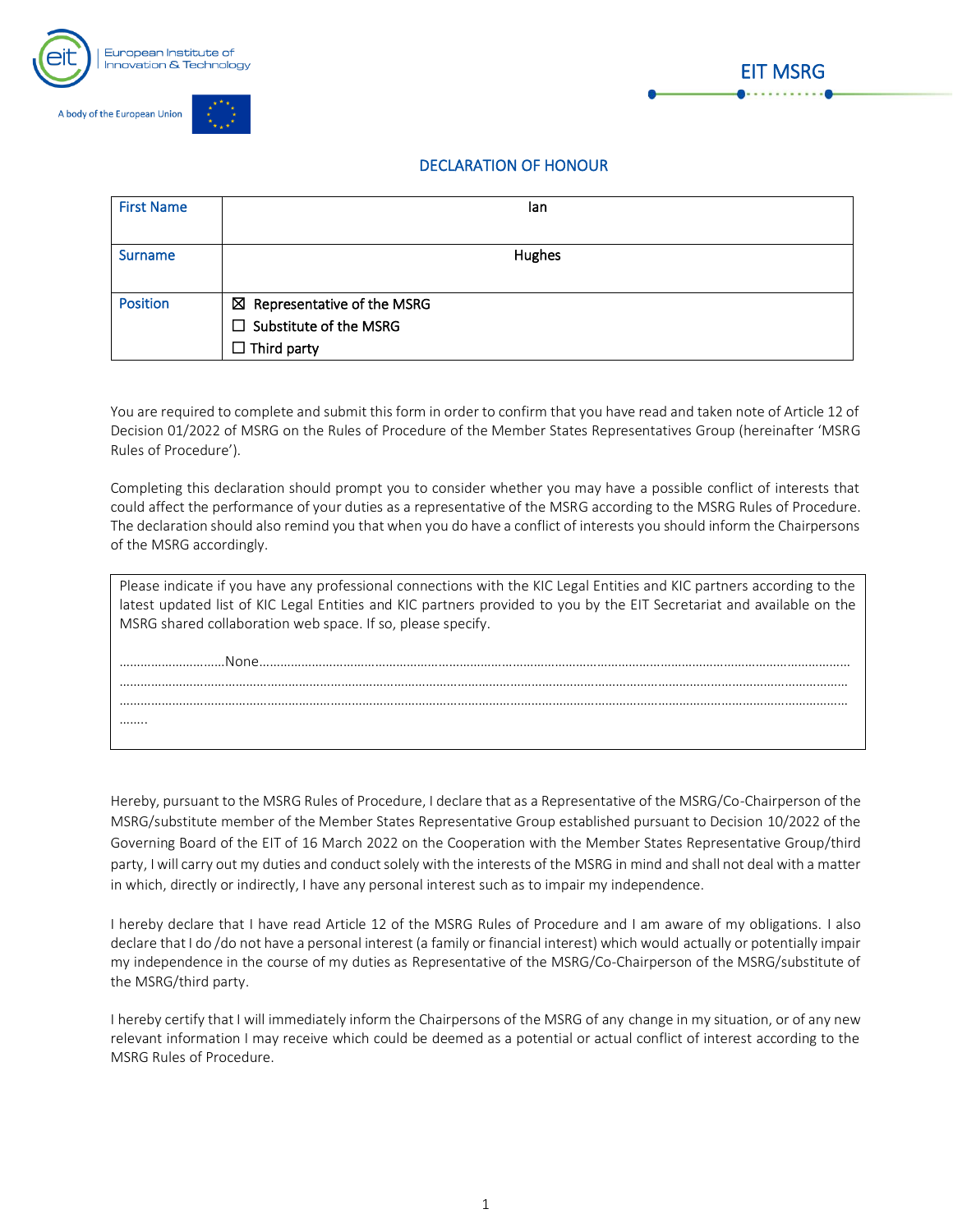



## DECLARATION OF HONOUR

| <b>First Name</b> | lan                                    |
|-------------------|----------------------------------------|
|                   |                                        |
| <b>Surname</b>    | Hughes                                 |
|                   |                                        |
| <b>Position</b>   | $\boxtimes$ Representative of the MSRG |
|                   | $\Box$ Substitute of the MSRG          |
|                   | $\Box$ Third party                     |

You are required to complete and submit this form in order to confirm that you have read and taken note of Article 12 of Decision 01/2022 of MSRG on the Rules of Procedure of the Member States Representatives Group (hereinafter 'MSRG Rules of Procedure').

Completing this declaration should prompt you to consider whether you may have a possible conflict of interests that could affect the performance of your duties as a representative of the MSRG according to the MSRG Rules of Procedure. The declaration should also remind you that when you do have a conflict of interests you should inform the Chairpersons of the MSRG accordingly.

| Please indicate if you have any professional connections with the KIC Legal Entities and KIC partners according to the<br>latest updated list of KIC Legal Entities and KIC partners provided to you by the EIT Secretariat and available on the |
|--------------------------------------------------------------------------------------------------------------------------------------------------------------------------------------------------------------------------------------------------|
| MSRG shared collaboration web space. If so, please specify.                                                                                                                                                                                      |
| None                                                                                                                                                                                                                                             |
|                                                                                                                                                                                                                                                  |
| .                                                                                                                                                                                                                                                |

Hereby, pursuant to the MSRG Rules of Procedure, I declare that as a Representative of the MSRG/Co-Chairperson of the MSRG/substitute member of the Member States Representative Group established pursuant to Decision 10/2022 of the Governing Board of the EIT of 16 March 2022 on the Cooperation with the Member States Representative Group/third party, I will carry out my duties and conduct solely with the interests of the MSRG in mind and shall not deal with a matter in which, directly or indirectly, I have any personal interest such as to impair my independence.

I hereby declare that I have read Article 12 of the MSRG Rules of Procedure and I am aware of my obligations. I also declare that I do /do not have a personal interest (a family or financial interest) which would actually or potentially impair my independence in the course of my duties as Representative of the MSRG/Co-Chairperson of the MSRG/substitute of the MSRG/third party.

I hereby certify that I will immediately inform the Chairpersons of the MSRG of any change in my situation, or of any new relevant information I may receive which could be deemed as a potential or actual conflict of interest according to the MSRG Rules of Procedure.